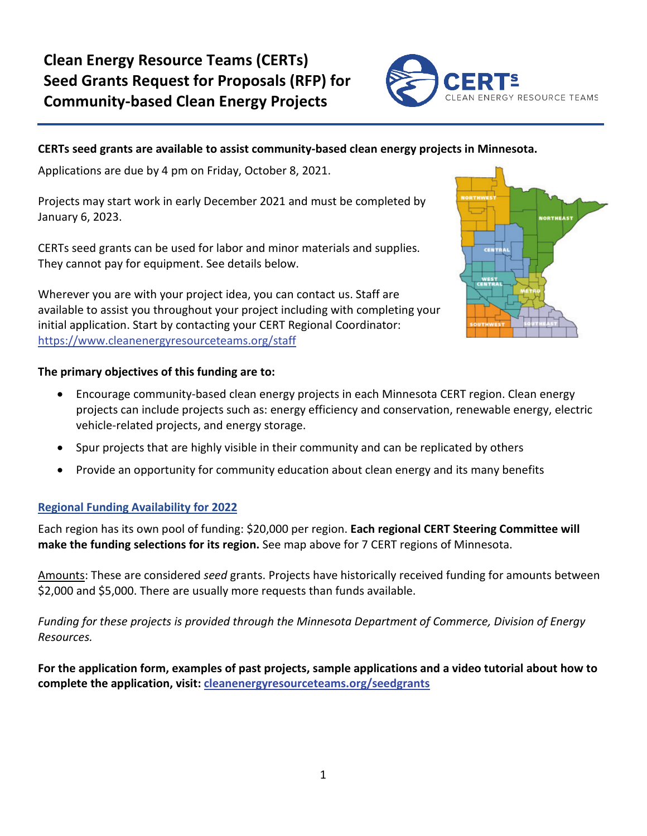# **Clean Energy Resource Teams (CERTs) Seed Grants Request for Proposals (RFP) for Community-based Clean Energy Projects**



# **CERTs seed grants are available to assist community-based clean energy projects in Minnesota.**

Applications are due by 4 pm on Friday, October 8, 2021.

Projects may start work in early December 2021 and must be completed by January 6, 2023.

CERTs seed grants can be used for labor and minor materials and supplies. They cannot pay for equipment. See details below.

Wherever you are with your project idea, you can contact us. Staff are available to assist you throughout your project including with completing your initial application. Start by contacting your CERT Regional Coordinator: <https://www.cleanenergyresourceteams.org/staff>



# **The primary objectives of this funding are to:**

- Encourage community-based clean energy projects in each Minnesota CERT region. Clean energy projects can include projects such as: energy efficiency and conservation, renewable energy, electric vehicle-related projects, and energy storage.
- Spur projects that are highly visible in their community and can be replicated by others
- Provide an opportunity for community education about clean energy and its many benefits

# **Regional Funding Availability for 2022**

Each region has its own pool of funding: \$20,000 per region. **Each regional CERT Steering Committee will make the funding selections for its region.** See map above for 7 CERT regions of Minnesota.

Amounts: These are considered *seed* grants. Projects have historically received funding for amounts between \$2,000 and \$5,000. There are usually more requests than funds available.

*Funding for these projects is provided through the Minnesota Department of Commerce, Division of Energy Resources.*

**For the application form, examples of past projects, sample applications and a video tutorial about how to complete the application, visit: [cleanenergyresourceteams.org/seedgrants](http://www.cleanenergyresourceteams.org/seedgrants)**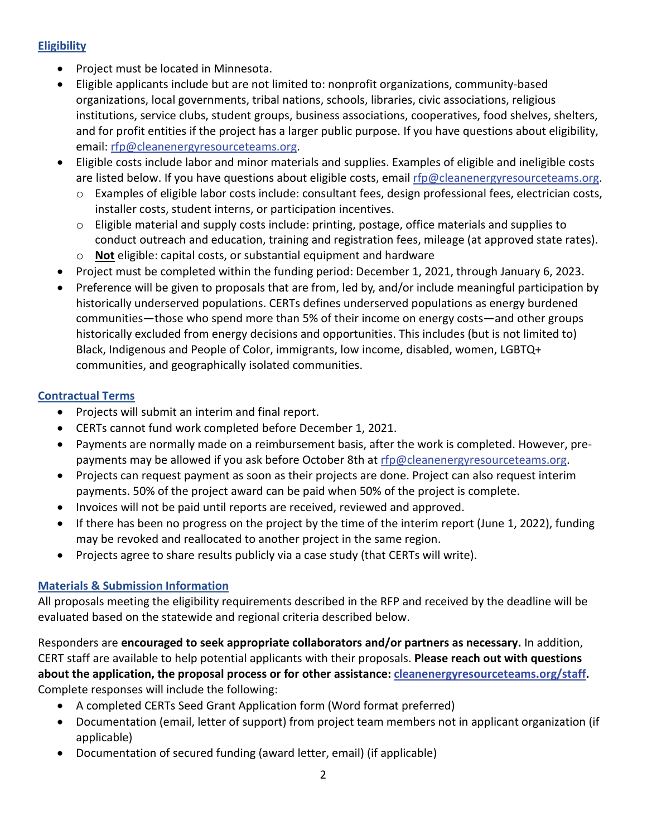# **Eligibility**

- Project must be located in Minnesota.
- Eligible applicants include but are not limited to: nonprofit organizations, community-based organizations, local governments, tribal nations, schools, libraries, civic associations, religious institutions, service clubs, student groups, business associations, cooperatives, food shelves, shelters, and for profit entities if the project has a larger public purpose. If you have questions about eligibility, email[: rfp@cleanenergyresourceteams.org.](mailto:rfp@cleanenergyresourceteams.org)
- Eligible costs include labor and minor materials and supplies. Examples of eligible and ineligible costs are listed below. If you have questions about eligible costs, email [rfp@cleanenergyresourceteams.org.](mailto:rfp@cleanenergyresourceteams.org)
	- o Examples of eligible labor costs include: consultant fees, design professional fees, electrician costs, installer costs, student interns, or participation incentives.
	- $\circ$  Eligible material and supply costs include: printing, postage, office materials and supplies to conduct outreach and education, training and registration fees, mileage (at approved state rates).
	- o **Not** eligible: capital costs, or substantial equipment and hardware
- Project must be completed within the funding period: December 1, 2021, through January 6, 2023.
- Preference will be given to proposals that are from, led by, and/or include meaningful participation by historically underserved populations. CERTs defines underserved populations as energy burdened communities—those who spend more than 5% of their income on energy costs—and other groups historically excluded from energy decisions and opportunities. This includes (but is not limited to) Black, Indigenous and People of Color, immigrants, low income, disabled, women, LGBTQ+ communities, and geographically isolated communities.

# **Contractual Terms**

- Projects will submit an interim and final report.
- CERTs cannot fund work completed before December 1, 2021.
- Payments are normally made on a reimbursement basis, after the work is completed. However, prepayments may be allowed if you ask before October 8th at [rfp@cleanenergyresourceteams.org.](mailto:rfp@cleanenergyresourceteams.org)
- Projects can request payment as soon as their projects are done. Project can also request interim payments. 50% of the project award can be paid when 50% of the project is complete.
- Invoices will not be paid until reports are received, reviewed and approved.
- If there has been no progress on the project by the time of the interim report (June 1, 2022), funding may be revoked and reallocated to another project in the same region.
- Projects agree to share results publicly via a case study (that CERTs will write).

# **Materials & Submission Information**

All proposals meeting the eligibility requirements described in the RFP and received by the deadline will be evaluated based on the statewide and regional criteria described below.

Responders are **encouraged to seek appropriate collaborators and/or partners as necessary.** In addition, CERT staff are available to help potential applicants with their proposals. **Please reach out with questions about the application, the proposal process or for other assistance: [cleanenergyresourceteams.org/staff.](http://cleanenergyresourceteams.org/staff)** Complete responses will include the following:

- A completed CERTs Seed Grant Application form (Word format preferred)
- Documentation (email, letter of support) from project team members not in applicant organization (if applicable)
- Documentation of secured funding (award letter, email) (if applicable)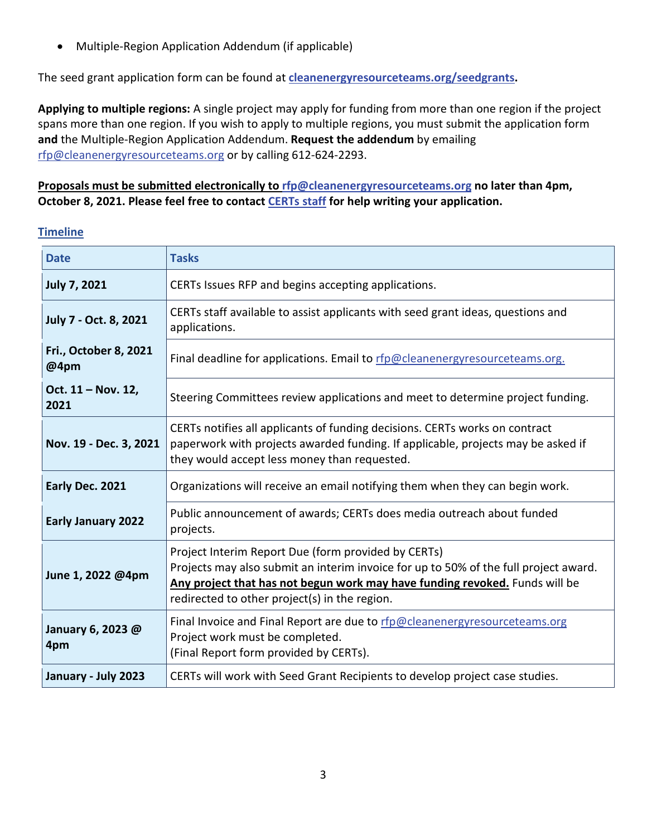• Multiple-Region Application Addendum (if applicable)

The seed grant application form can be found at **[cleanenergyresourceteams.org/seedgrants.](http://www.cleanenergyresourceteams.org/seedgrants)** 

**Applying to multiple regions:** A single project may apply for funding from more than one region if the project spans more than one region. If you wish to apply to multiple regions, you must submit the application form **and** the Multiple-Region Application Addendum. **Request the addendum** by emailing [rfp@cleanenergyresourceteams.org](mailto:rfp@cleanenergyresourceteams.org) or by calling 612-624-2293.

# **Proposals must be submitted electronically to [rfp@cleanenergyresourceteams.org](mailto:rfp@cleanenergyresourceteams.org) no later than 4pm, October 8, 2021. Please feel free to contact [CERTs staff](http://cleanenergyresourceteams.org/staff) for help writing your application.**

## **Timeline**

| <b>Date</b>                          | <b>Tasks</b>                                                                                                                                                                                                                                                                |  |
|--------------------------------------|-----------------------------------------------------------------------------------------------------------------------------------------------------------------------------------------------------------------------------------------------------------------------------|--|
| <b>July 7, 2021</b>                  | CERTs Issues RFP and begins accepting applications.                                                                                                                                                                                                                         |  |
| July 7 - Oct. 8, 2021                | CERTs staff available to assist applicants with seed grant ideas, questions and<br>applications.                                                                                                                                                                            |  |
| <b>Fri., October 8, 2021</b><br>@4pm | Final deadline for applications. Email to rfp@cleanenergyresourceteams.org.                                                                                                                                                                                                 |  |
| Oct. 11 - Nov. 12,<br>2021           | Steering Committees review applications and meet to determine project funding.                                                                                                                                                                                              |  |
| Nov. 19 - Dec. 3, 2021               | CERTs notifies all applicants of funding decisions. CERTs works on contract<br>paperwork with projects awarded funding. If applicable, projects may be asked if<br>they would accept less money than requested.                                                             |  |
| Early Dec. 2021                      | Organizations will receive an email notifying them when they can begin work.                                                                                                                                                                                                |  |
| <b>Early January 2022</b>            | Public announcement of awards; CERTs does media outreach about funded<br>projects.                                                                                                                                                                                          |  |
| June 1, 2022 @4pm                    | Project Interim Report Due (form provided by CERTs)<br>Projects may also submit an interim invoice for up to 50% of the full project award.<br>Any project that has not begun work may have funding revoked. Funds will be<br>redirected to other project(s) in the region. |  |
| January 6, 2023 @<br>4pm             | Final Invoice and Final Report are due to rfp@cleanenergyresourceteams.org<br>Project work must be completed.<br>(Final Report form provided by CERTs).                                                                                                                     |  |
| January - July 2023                  | CERTs will work with Seed Grant Recipients to develop project case studies.                                                                                                                                                                                                 |  |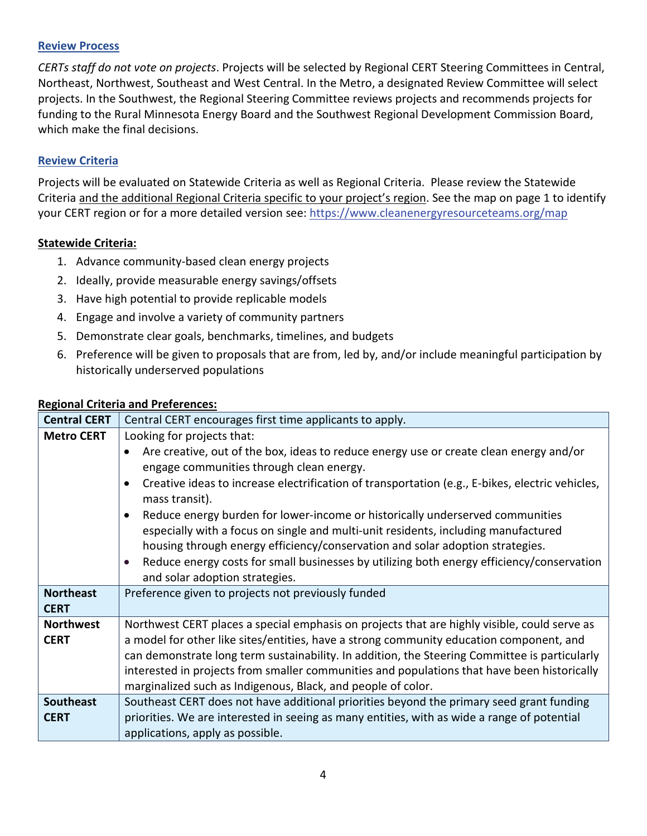## **Review Process**

*CERTs staff do not vote on projects*. Projects will be selected by Regional CERT Steering Committees in Central, Northeast, Northwest, Southeast and West Central. In the Metro, a designated Review Committee will select projects. In the Southwest, the Regional Steering Committee reviews projects and recommends projects for funding to the Rural Minnesota Energy Board and the Southwest Regional Development Commission Board, which make the final decisions.

## **Review Criteria**

Projects will be evaluated on Statewide Criteria as well as Regional Criteria. Please review the Statewide Criteria and the additional Regional Criteria specific to your project's region. See the map on page 1 to identify your CERT region or for a more detailed version see:<https://www.cleanenergyresourceteams.org/map>

## **Statewide Criteria:**

- 1. Advance community-based clean energy projects
- 2. Ideally, provide measurable energy savings/offsets
- 3. Have high potential to provide replicable models
- 4. Engage and involve a variety of community partners
- 5. Demonstrate clear goals, benchmarks, timelines, and budgets
- 6. Preference will be given to proposals that are from, led by, and/or include meaningful participation by historically underserved populations

#### **Regional Criteria and Preferences:**

| <b>Central CERT</b>             | Central CERT encourages first time applicants to apply.                                                                                                                                                                                                                                                                                                                                                                                                                                                                                                                                                                                                                                                             |
|---------------------------------|---------------------------------------------------------------------------------------------------------------------------------------------------------------------------------------------------------------------------------------------------------------------------------------------------------------------------------------------------------------------------------------------------------------------------------------------------------------------------------------------------------------------------------------------------------------------------------------------------------------------------------------------------------------------------------------------------------------------|
| <b>Metro CERT</b>               | Looking for projects that:<br>Are creative, out of the box, ideas to reduce energy use or create clean energy and/or<br>engage communities through clean energy.<br>Creative ideas to increase electrification of transportation (e.g., E-bikes, electric vehicles,<br>$\bullet$<br>mass transit).<br>Reduce energy burden for lower-income or historically underserved communities<br>$\bullet$<br>especially with a focus on single and multi-unit residents, including manufactured<br>housing through energy efficiency/conservation and solar adoption strategies.<br>Reduce energy costs for small businesses by utilizing both energy efficiency/conservation<br>$\bullet$<br>and solar adoption strategies. |
| <b>Northeast</b><br><b>CERT</b> | Preference given to projects not previously funded                                                                                                                                                                                                                                                                                                                                                                                                                                                                                                                                                                                                                                                                  |
| <b>Northwest</b><br><b>CERT</b> | Northwest CERT places a special emphasis on projects that are highly visible, could serve as<br>a model for other like sites/entities, have a strong community education component, and<br>can demonstrate long term sustainability. In addition, the Steering Committee is particularly<br>interested in projects from smaller communities and populations that have been historically<br>marginalized such as Indigenous, Black, and people of color.                                                                                                                                                                                                                                                             |
| <b>Southeast</b><br><b>CERT</b> | Southeast CERT does not have additional priorities beyond the primary seed grant funding<br>priorities. We are interested in seeing as many entities, with as wide a range of potential<br>applications, apply as possible.                                                                                                                                                                                                                                                                                                                                                                                                                                                                                         |